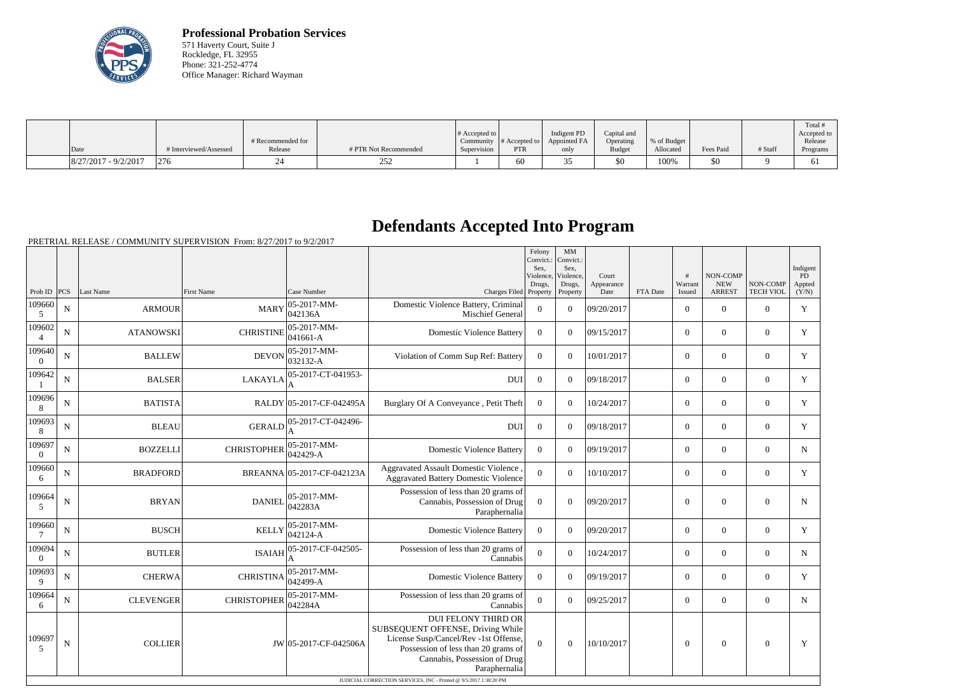

**Professional Probation Services** 571 Haverty Court, Suite J Rockledge, FL 32955 Phone: 321-252-4774 Office Manager: Richard Wayman

|                        |                        |                   |                       |                       |                  |              |               |             |           |         | Total       |
|------------------------|------------------------|-------------------|-----------------------|-----------------------|------------------|--------------|---------------|-------------|-----------|---------|-------------|
|                        |                        |                   |                       | $\#$ Accepted to $\ $ |                  | Indigent PD  | Capital and   |             |           |         | Accepted to |
|                        |                        | # Recommended for |                       | Community             | $\#$ Accepted to | Appointed FA | Operating     | % of Budget |           |         | Release     |
| Date                   | # Interviewed/Assessed | Release           | # PTR Not Recommended | Supervision           | <b>PTR</b>       | only         | <b>Budget</b> | Allocated   | Fees Paid | # Staff | Programs    |
| $8/27/2017 - 9/2/2017$ | 276                    |                   | າ<າ<br>201            |                       | 60               |              | \$0           | 100%        | 50        |         | v.          |

## **Defendants Accepted Into Program**

|                    |             |                  |                    |                                    |                                                                                                                                                                                                  | Felony<br>Convict.:<br>Sex.<br>Violence | MM<br>Convict.:<br>Sex.<br>Violence, | Court              |          | #                 | <b>NON-COMP</b>             |                              | Indigent<br>PD  |
|--------------------|-------------|------------------|--------------------|------------------------------------|--------------------------------------------------------------------------------------------------------------------------------------------------------------------------------------------------|-----------------------------------------|--------------------------------------|--------------------|----------|-------------------|-----------------------------|------------------------------|-----------------|
| Prob ID $PCS$      |             | Last Name        | <b>First Name</b>  | Case Number                        | Charges Filed Property                                                                                                                                                                           | Drugs,                                  | Drugs,<br>Property                   | Appearance<br>Date | FTA Date | Warrant<br>Issued | <b>NEW</b><br><b>ARREST</b> | NON-COMP<br><b>TECH VIOL</b> | Appted<br>(Y/N) |
| 109660<br>5        | $\mathbf N$ | <b>ARMOUR</b>    | <b>MARY</b>        | $ 05 - 2017 - MM -$<br>042136A     | Domestic Violence Battery, Criminal<br>Mischief General                                                                                                                                          | $\Omega$                                | $\theta$                             | 09/20/2017         |          | $\overline{0}$    | $\theta$                    | $\overline{0}$               | $\mathbf Y$     |
| 109602             | N           | <b>ATANOWSKI</b> | <b>CHRISTINE</b>   | $ 05 - 2017 - MM -$<br>$ 041661-A$ | <b>Domestic Violence Battery</b>                                                                                                                                                                 | $\overline{0}$                          | $\Omega$                             | 09/15/2017         |          | $\overline{0}$    | $\overline{0}$              | $\overline{0}$               | Y               |
| 109640<br>$\theta$ | ${\bf N}$   | <b>BALLEW</b>    | <b>DEVON</b>       | $ 05-2017-MM-$<br>032132-A         | Violation of Comm Sup Ref: Battery                                                                                                                                                               | $\boldsymbol{0}$                        | $\theta$                             | 10/01/2017         |          | $\overline{0}$    | $\overline{0}$              | $\overline{0}$               | Y               |
| 109642             | ${\bf N}$   | <b>BALSER</b>    | <b>LAKAYLA</b>     | 05-2017-CT-041953-                 | <b>DUI</b>                                                                                                                                                                                       | $\overline{0}$                          | $\Omega$                             | 09/18/2017         |          | $\overline{0}$    | $\theta$                    | $\overline{0}$               | Y               |
| 109696<br>8        | $\mathbf N$ | <b>BATISTA</b>   |                    | RALDY 05-2017-CF-042495A           | Burglary Of A Conveyance, Petit Theft                                                                                                                                                            | $\boldsymbol{0}$                        | $\Omega$                             | 10/24/2017         |          | $\overline{0}$    | $\overline{0}$              | $\overline{0}$               | Y               |
| 109693<br>8        | $\mathbf N$ | <b>BLEAU</b>     | <b>GERALD</b>      | 05-2017-CT-042496-                 | <b>DUI</b>                                                                                                                                                                                       | $\mathbf{0}$                            | $\Omega$                             | 09/18/2017         |          | $\overline{0}$    | $\overline{0}$              | $\overline{0}$               | Y               |
| 109697<br>$\theta$ | ${\bf N}$   | <b>BOZZELLI</b>  | <b>CHRISTOPHER</b> | 05-2017-MM-<br>$042429 - A$        | <b>Domestic Violence Battery</b>                                                                                                                                                                 | $\Omega$                                | $\Omega$                             | 09/19/2017         |          | $\overline{0}$    | $\theta$                    | $\mathbf{0}$                 | ${\bf N}$       |
| 109660<br>6        | ${\bf N}$   | <b>BRADFORD</b>  |                    | BREANNA 05-2017-CF-042123A         | Aggravated Assault Domestic Violence,<br><b>Aggravated Battery Domestic Violence</b>                                                                                                             | $\mathbf{0}$                            | $\Omega$                             | 10/10/2017         |          | $\overline{0}$    | $\overline{0}$              | $\overline{0}$               | Y               |
| 109664<br>5        | ${\bf N}$   | <b>BRYAN</b>     | <b>DANIEL</b>      | 05-2017-MM-<br>042283A             | Possession of less than 20 grams of<br>Cannabis, Possession of Drug<br>Paraphernalia                                                                                                             | $\boldsymbol{0}$                        | $\theta$                             | 09/20/2017         |          | $\overline{0}$    | $\overline{0}$              | $\mathbf{0}$                 | $\mathbf N$     |
| 109660             | $\mathbf N$ | <b>BUSCH</b>     | <b>KELLY</b>       | 05-2017-MM-<br>042124-A            | <b>Domestic Violence Battery</b>                                                                                                                                                                 | $\overline{0}$                          | $\overline{0}$                       | 09/20/2017         |          | $\overline{0}$    | $\overline{0}$              | $\overline{0}$               | $\mathbf Y$     |
| 109694<br>$\theta$ | $\mathbf N$ | <b>BUTLER</b>    | <b>ISAIAH</b>      | 05-2017-CF-042505-                 | Possession of less than 20 grams of<br>Cannabis                                                                                                                                                  | $\overline{0}$                          | $\theta$                             | 10/24/2017         |          | $\overline{0}$    | $\overline{0}$              | $\overline{0}$               | N               |
| 109693<br>9        | $\mathbf N$ | <b>CHERWA</b>    | <b>CHRISTINA</b>   | $ 05-2017-MM-$<br>042499-A         | <b>Domestic Violence Battery</b>                                                                                                                                                                 | $\Omega$                                | $\Omega$                             | 09/19/2017         |          | $\overline{0}$    | $\overline{0}$              | $\overline{0}$               | Y               |
| 109664<br>6        | N           | <b>CLEVENGER</b> | <b>CHRISTOPHER</b> | 05-2017-MM-<br>042284A             | Possession of less than 20 grams of<br>Cannabis                                                                                                                                                  | $\overline{0}$                          | $\Omega$                             | 09/25/2017         |          | $\overline{0}$    | $\theta$                    | $\overline{0}$               | N               |
| 109697<br>5        | N           | <b>COLLIER</b>   |                    | JW 05-2017-CF-042506A              | <b>DUI FELONY THIRD OR</b><br>SUBSEQUENT OFFENSE, Driving While<br>License Susp/Cancel/Rev -1st Offense,<br>Possession of less than 20 grams of<br>Cannabis, Possession of Drug<br>Paraphernalia | $\Omega$                                | $\theta$                             | 10/10/2017         |          | $\theta$          | $\overline{0}$              | $\overline{0}$               | Y               |
|                    |             |                  |                    |                                    | JUDICIAL CORRECTION SERVICES, INC - Printed @ 9/5/2017 1:38:20 PM                                                                                                                                |                                         |                                      |                    |          |                   |                             |                              |                 |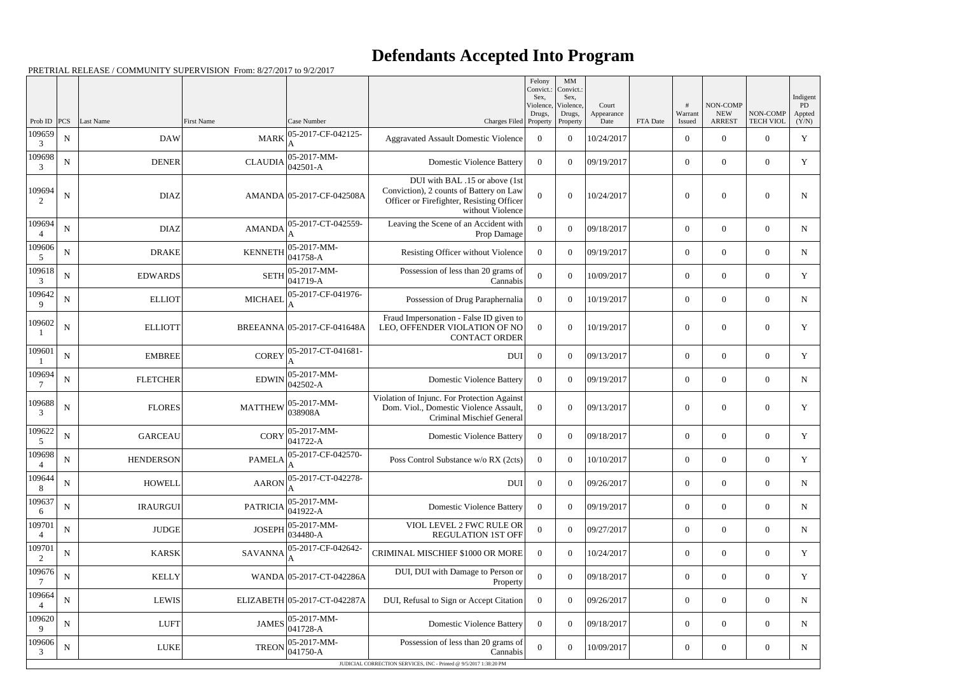## **Defendants Accepted Into Program**

|                  |             |                  |                 |                                          |                                                                                                                                            | Felony<br>Convict.:<br>Sex.<br>Violence, | MM<br>Convict.:<br>Sex,<br>Violence, | Court              |          |                   | NON-COMP                    |                              | Indigent<br>PD  |
|------------------|-------------|------------------|-----------------|------------------------------------------|--------------------------------------------------------------------------------------------------------------------------------------------|------------------------------------------|--------------------------------------|--------------------|----------|-------------------|-----------------------------|------------------------------|-----------------|
| Prob ID          | PCS         | Last Name        | First Name      | Case Number                              | Charges Filed Property                                                                                                                     | Drugs,                                   | Drugs,<br>Property                   | Appearance<br>Date | FTA Date | Warrant<br>Issued | <b>NEW</b><br><b>ARREST</b> | NON-COMP<br><b>TECH VIOL</b> | Appted<br>(Y/N) |
| 109659<br>3      | ${\bf N}$   | <b>DAW</b>       | <b>MARK</b>     | 05-2017-CF-042125-                       | <b>Aggravated Assault Domestic Violence</b>                                                                                                | $\overline{0}$                           | $\theta$                             | 10/24/2017         |          | $\boldsymbol{0}$  | $\theta$                    | $\overline{0}$               | $\mathbf Y$     |
| 109698<br>3      | ${\bf N}$   | <b>DENER</b>     |                 | CLAUDIA $05-2017-MM-042501-A$            | <b>Domestic Violence Battery</b>                                                                                                           | $\overline{0}$                           | $\theta$                             | 09/19/2017         |          | $\boldsymbol{0}$  | $\overline{0}$              | $\overline{0}$               | Y               |
| 109694<br>2      | $\mathbf N$ | <b>DIAZ</b>      |                 | AMANDA 05-2017-CF-042508A                | DUI with BAL .15 or above (1st<br>Conviction), 2 counts of Battery on Law<br>Officer or Firefighter, Resisting Officer<br>without Violence | $\Omega$                                 | $\Omega$                             | 10/24/2017         |          | $\overline{0}$    | $\theta$                    | $\overline{0}$               | $\mathbf N$     |
| 109694           | $\mathbf N$ | <b>DIAZ</b>      | AMANDA          | 05-2017-CT-042559-                       | Leaving the Scene of an Accident with<br>Prop Damage                                                                                       | $\mathbf{0}$                             | $\theta$                             | 09/18/2017         |          | $\overline{0}$    | $\overline{0}$              | $\overline{0}$               | $\mathbf N$     |
| 109606<br>5      | ${\bf N}$   | <b>DRAKE</b>     | <b>KENNETH</b>  | $ 05-2017-MM-$<br>$ 041758-A$            | Resisting Officer without Violence                                                                                                         | $\overline{0}$                           | $\theta$                             | 09/19/2017         |          | $\boldsymbol{0}$  | $\overline{0}$              | $\overline{0}$               | ${\bf N}$       |
| 109618<br>3      | $\mathbf N$ | <b>EDWARDS</b>   | <b>SETH</b>     | $ 05-2017-MM-$<br>$ 041719-A$            | Possession of less than 20 grams of<br>Cannabis                                                                                            | $\mathbf{0}$                             | $\Omega$                             | 10/09/2017         |          | $\overline{0}$    | $\overline{0}$              | $\overline{0}$               | Y               |
| 109642<br>9      | ${\bf N}$   | <b>ELLIOT</b>    | <b>MICHAEL</b>  | 05-2017-CF-041976-<br>A                  | Possession of Drug Paraphernalia                                                                                                           | $\overline{0}$                           | $\theta$                             | 10/19/2017         |          | $\boldsymbol{0}$  | $\overline{0}$              | $\overline{0}$               | N               |
| 109602           | N           | <b>ELLIOTT</b>   |                 | BREEANNA 05-2017-CF-041648A              | Fraud Impersonation - False ID given to<br>LEO, OFFENDER VIOLATION OF NO<br><b>CONTACT ORDER</b>                                           | $\overline{0}$                           | $\Omega$                             | 10/19/2017         |          | $\overline{0}$    | $\theta$                    | $\overline{0}$               | Y               |
| 109601           | ${\bf N}$   | <b>EMBREE</b>    | <b>COREY</b>    | 05-2017-CT-041681-                       | DUI                                                                                                                                        | $\overline{0}$                           | $\theta$                             | 09/13/2017         |          | $\boldsymbol{0}$  | $\overline{0}$              | $\overline{0}$               | Y               |
| 109694           | $\mathbf N$ | <b>FLETCHER</b>  | <b>EDWIN</b>    | $ 05-2017-MM-$<br>$042502 - A$           | <b>Domestic Violence Battery</b>                                                                                                           | $\overline{0}$                           | $\theta$                             | 09/19/2017         |          | $\boldsymbol{0}$  | $\overline{0}$              | $\overline{0}$               | $\mathbf N$     |
| 109688<br>3      | ${\bf N}$   | <b>FLORES</b>    | <b>MATTHEW</b>  | $ 05-2017-MM-$<br>038908A                | Violation of Injunc. For Protection Against<br>Dom. Viol., Domestic Violence Assault,<br>Criminal Mischief General                         | $\overline{0}$                           | $\Omega$                             | 09/13/2017         |          | $\boldsymbol{0}$  | $\overline{0}$              | $\mathbf{0}$                 | $\mathbf Y$     |
| 109622<br>5      | ${\bf N}$   | <b>GARCEAU</b>   |                 | CORY $05-2017-MM-$<br>041722-A           | <b>Domestic Violence Battery</b>                                                                                                           | $\overline{0}$                           | $\overline{0}$                       | 09/18/2017         |          | $\overline{0}$    | $\overline{0}$              | $\overline{0}$               | Y               |
| 109698<br>$^{4}$ | $\mathbf N$ | <b>HENDERSON</b> | <b>PAMELA</b>   | 05-2017-CF-042570-<br> A                 | Poss Control Substance w/o RX (2cts)                                                                                                       | $\overline{0}$                           | $\overline{0}$                       | 10/10/2017         |          | $\overline{0}$    | $\overline{0}$              | $\overline{0}$               | Y               |
| 109644<br>8      | $\mathbf N$ | <b>HOWELL</b>    | <b>AARON</b>    | 05-2017-CT-042278-                       | DUI                                                                                                                                        | $\boldsymbol{0}$                         | $\overline{0}$                       | 09/26/2017         |          | $\overline{0}$    | $\overline{0}$              | $\mathbf{0}$                 | $\mathbf N$     |
| 109637<br>6      | ${\bf N}$   | <b>IRAURGUI</b>  | <b>PATRICIA</b> | $ 05-2017-MM-$<br>$\frac{1}{1041922}$ -A | <b>Domestic Violence Battery</b>                                                                                                           | $\overline{0}$                           | $\theta$                             | 09/19/2017         |          | $\overline{0}$    | $\overline{0}$              | $\overline{0}$               | $\mathbf N$     |
| 109701           | $\mathbf N$ | <b>JUDGE</b>     | <b>JOSEPH</b>   | $ 05-2017-MM-$<br>034480-A               | VIOL LEVEL 2 FWC RULE OR<br><b>REGULATION 1ST OFF</b>                                                                                      | $\overline{0}$                           | $\overline{0}$                       | 09/27/2017         |          | $\overline{0}$    | $\overline{0}$              | $\overline{0}$               | $\mathbf N$     |
| 109701<br>2      | ${\bf N}$   | <b>KARSK</b>     | <b>SAVANNA</b>  | 05-2017-CF-042642-<br>A                  | CRIMINAL MISCHIEF \$1000 OR MORE                                                                                                           | $\overline{0}$                           | $\theta$                             | 10/24/2017         |          | $\boldsymbol{0}$  | $\overline{0}$              | $\overline{0}$               | Y               |
| 109676<br>-7     | ${\bf N}$   | <b>KELLY</b>     |                 | WANDA 05-2017-CT-042286A                 | DUI, DUI with Damage to Person or<br>Property                                                                                              | $\mathbf{0}$                             | $\theta$                             | 09/18/2017         |          | $\overline{0}$    | $\overline{0}$              | $\overline{0}$               | Y               |
| 109664           | ${\bf N}$   | <b>LEWIS</b>     |                 | ELIZABETH 05-2017-CT-042287A             | DUI, Refusal to Sign or Accept Citation                                                                                                    | $\overline{0}$                           | $\overline{0}$                       | 09/26/2017         |          | $\overline{0}$    | $\overline{0}$              | $\overline{0}$               | ${\bf N}$       |
| 109620<br>9      | ${\bf N}$   | <b>LUFT</b>      |                 | JAMES $ 05-2017-MM-$<br>$041728-A$       | <b>Domestic Violence Battery</b>                                                                                                           | $\overline{0}$                           | $\overline{0}$                       | 09/18/2017         |          | $\overline{0}$    | $\overline{0}$              | $\overline{0}$               | $\mathbf N$     |
| 109606<br>3      | ${\bf N}$   | LUKE             | <b>TREON</b>    | $ 05-2017-MM-$<br>$ 041750 - A$          | Possession of less than 20 grams of<br>Cannabis                                                                                            | $\mathbf{0}$                             | $\boldsymbol{0}$                     | 10/09/2017         |          | $\boldsymbol{0}$  | $\overline{0}$              | $\overline{0}$               | N               |
|                  |             |                  |                 |                                          | JUDICIAL CORRECTION SERVICES, INC - Printed @ 9/5/2017 1:38:20 PM                                                                          |                                          |                                      |                    |          |                   |                             |                              |                 |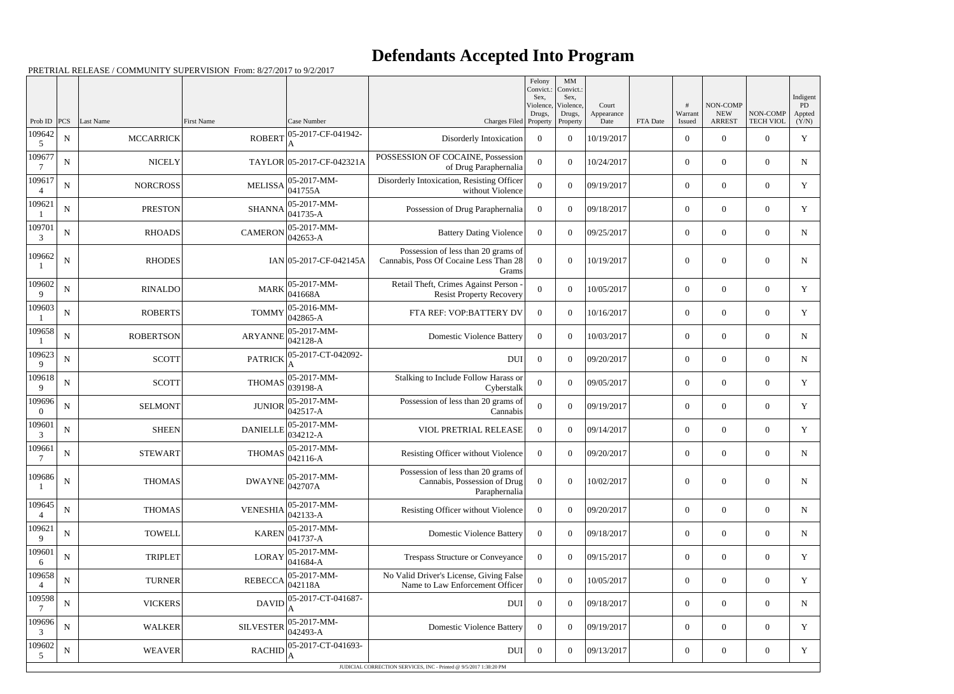## **Defendants Accepted Into Program**

|                          |             |                  |                  |                                   |                                                                                        | Felony<br>Convict.:<br>Sex. | MM<br>Convict.:<br>Sex, |                     |          |                  |                        |                  | Indigent     |
|--------------------------|-------------|------------------|------------------|-----------------------------------|----------------------------------------------------------------------------------------|-----------------------------|-------------------------|---------------------|----------|------------------|------------------------|------------------|--------------|
|                          |             |                  |                  |                                   |                                                                                        | Violence,<br>Drugs,         | Violence,<br>Drugs,     | Court<br>Appearance |          | #<br>Warrant     | NON-COMP<br><b>NEW</b> | NON-COMP         | PD<br>Appted |
| Prob ID<br>109642        | <b>PCS</b>  | Last Name        | First Name       | Case Number<br>05-2017-CF-041942- | Charges Filed Property                                                                 |                             | Property                | Date                | FTA Date | Issued           | <b>ARREST</b>          | <b>TECH VIOL</b> | (Y/N)        |
| 5                        | ${\bf N}$   | <b>MCCARRICK</b> | <b>ROBERT</b>    | A                                 | Disorderly Intoxication                                                                | $\overline{0}$              | $\overline{0}$          | 10/19/2017          |          | $\boldsymbol{0}$ | $\overline{0}$         | $\overline{0}$   | $\mathbf Y$  |
| 109677                   | $\mathbf N$ | <b>NICELY</b>    |                  | TAYLOR 05-2017-CF-042321A         | POSSESSION OF COCAINE, Possession<br>of Drug Paraphernalia                             | $\overline{0}$              | $\overline{0}$          | 10/24/2017          |          | $\overline{0}$   | $\overline{0}$         | $\overline{0}$   | ${\bf N}$    |
| 109617<br>$\overline{4}$ | ${\bf N}$   | <b>NORCROSS</b>  | <b>MELISSA</b>   | 05-2017-MM-<br>041755A            | Disorderly Intoxication, Resisting Officer<br>without Violence                         | $\boldsymbol{0}$            | $\boldsymbol{0}$        | 09/19/2017          |          | $\overline{0}$   | $\theta$               | $\overline{0}$   | Y            |
| 109621                   | ${\bf N}$   | <b>PRESTON</b>   | <b>SHANNA</b>    | 05-2017-MM-<br>$041735 - A$       | Possession of Drug Paraphernalia                                                       | $\overline{0}$              | $\overline{0}$          | 09/18/2017          |          | $\overline{0}$   | $\overline{0}$         | $\overline{0}$   | Y            |
| 109701<br>3              | ${\bf N}$   | <b>RHOADS</b>    | <b>CAMERON</b>   | 05-2017-MM-<br>042653-A           | <b>Battery Dating Violence</b>                                                         | $\overline{0}$              | $\overline{0}$          | 09/25/2017          |          | $\overline{0}$   | $\theta$               | $\overline{0}$   | N            |
| 109662                   | $\mathbf N$ | <b>RHODES</b>    |                  | $IAN$ 05-2017-CF-042145A          | Possession of less than 20 grams of<br>Cannabis, Poss Of Cocaine Less Than 28<br>Grams | $\overline{0}$              | $\boldsymbol{0}$        | 10/19/2017          |          | $\theta$         | $\overline{0}$         | $\boldsymbol{0}$ | N            |
| 109602<br>9              | ${\bf N}$   | <b>RINALDO</b>   | <b>MARK</b>      | 05-2017-MM-<br>041668A            | Retail Theft, Crimes Against Person<br><b>Resist Property Recovery</b>                 | $\theta$                    | $\boldsymbol{0}$        | 10/05/2017          |          | $\overline{0}$   | $\overline{0}$         | $\overline{0}$   | Y            |
| 109603                   | ${\bf N}$   | <b>ROBERTS</b>   | <b>TOMMY</b>     | 05-2016-MM-<br>$042865 - A$       | FTA REF: VOP:BATTERY DV                                                                | $\Omega$                    | $\overline{0}$          | 10/16/2017          |          | $\overline{0}$   | $\boldsymbol{0}$       | $\overline{0}$   | Y            |
| 109658                   | ${\bf N}$   | <b>ROBERTSON</b> | <b>ARYANNE</b>   | 05-2017-MM-<br>042128-A           | <b>Domestic Violence Battery</b>                                                       | $\overline{0}$              | $\overline{0}$          | 10/03/2017          |          | $\overline{0}$   | $\overline{0}$         | $\overline{0}$   | $\mathbf N$  |
| 109623<br>9              | $\mathbf N$ | <b>SCOTT</b>     | <b>PATRICK</b>   | 05-2017-CT-042092-                | <b>DUI</b>                                                                             | $\overline{0}$              | $\overline{0}$          | 09/20/2017          |          | $\overline{0}$   | $\overline{0}$         | $\overline{0}$   | N            |
| 109618<br>9              | ${\bf N}$   | <b>SCOTT</b>     | <b>THOMAS</b>    | 05-2017-MM-<br>039198-A           | Stalking to Include Follow Harass or<br>Cyberstalk                                     | $\boldsymbol{0}$            | $\boldsymbol{0}$        | 09/05/2017          |          | $\overline{0}$   | $\overline{0}$         | $\overline{0}$   | Y            |
| 109696<br>$\Omega$       | ${\bf N}$   | <b>SELMONT</b>   | <b>JUNIOR</b>    | 05-2017-MM-<br>042517-A           | Possession of less than 20 grams of<br>Cannabis                                        | $\overline{0}$              | $\overline{0}$          | 09/19/2017          |          | $\overline{0}$   | $\boldsymbol{0}$       | $\overline{0}$   | Y            |
| 109601<br>3              | ${\bf N}$   | <b>SHEEN</b>     | <b>DANIELLE</b>  | 05-2017-MM-<br>034212-A           | VIOL PRETRIAL RELEASE                                                                  | $\overline{0}$              | $\overline{0}$          | 09/14/2017          |          | $\boldsymbol{0}$ | $\overline{0}$         | $\overline{0}$   | $\mathbf Y$  |
| 109661                   | $\mathbf N$ | <b>STEWART</b>   | <b>THOMAS</b>    | 05-2017-MM-<br>042116-A           | Resisting Officer without Violence                                                     | $\overline{0}$              | $\overline{0}$          | 09/20/2017          |          | $\overline{0}$   | $\overline{0}$         | $\overline{0}$   | N            |
| 109686                   | $\mathbf N$ | <b>THOMAS</b>    | <b>DWAYNE</b>    | 05-2017-MM-<br>042707A            | Possession of less than 20 grams of<br>Cannabis, Possession of Drug<br>Paraphernalia   | $\overline{0}$              | $\boldsymbol{0}$        | 10/02/2017          |          | $\boldsymbol{0}$ | $\boldsymbol{0}$       | $\overline{0}$   | $\mathbf N$  |
| 109645                   | $\mathbf N$ | <b>THOMAS</b>    | <b>VENESHIA</b>  | 05-2017-MM-<br>$042133 - A$       | Resisting Officer without Violence                                                     | $\overline{0}$              | $\boldsymbol{0}$        | 09/20/2017          |          | $\overline{0}$   | $\boldsymbol{0}$       | $\boldsymbol{0}$ | $\mathbf N$  |
| 109621<br>9              | ${\bf N}$   | <b>TOWELL</b>    | <b>KAREN</b>     | 05-2017-MM-<br>041737-A           | <b>Domestic Violence Battery</b>                                                       | $\overline{0}$              | $\boldsymbol{0}$        | 09/18/2017          |          | $\boldsymbol{0}$ | $\boldsymbol{0}$       | $\boldsymbol{0}$ | $\mathbf N$  |
| 109601<br>6              | $\mathbf N$ | <b>TRIPLET</b>   | <b>LORAY</b>     | 05-2017-MM-<br>$041684 - A$       | <b>Trespass Structure or Conveyance</b>                                                | $\overline{0}$              | $\overline{0}$          | 09/15/2017          |          | $\overline{0}$   | $\overline{0}$         | $\boldsymbol{0}$ | Y            |
| 109658<br>$\overline{4}$ | ${\bf N}$   | <b>TURNER</b>    | <b>REBECCA</b>   | 05-2017-MM-<br>042118A            | No Valid Driver's License, Giving False<br>Name to Law Enforcement Officer             | $\mathbf{0}$                | $\boldsymbol{0}$        | 10/05/2017          |          | $\overline{0}$   | $\overline{0}$         | $\overline{0}$   | Y            |
| 109598                   | $\mathbf N$ | <b>VICKERS</b>   | <b>DAVID</b>     | 05-2017-CT-041687-                | <b>DUI</b>                                                                             | $\overline{0}$              | $\boldsymbol{0}$        | 09/18/2017          |          | $\overline{0}$   | $\boldsymbol{0}$       | $\boldsymbol{0}$ | $\mathbf N$  |
| 109696<br>3              | ${\bf N}$   | <b>WALKER</b>    | <b>SILVESTER</b> | 05-2017-MM-<br>042493-A           | <b>Domestic Violence Battery</b>                                                       | $\overline{0}$              | $\boldsymbol{0}$        | 09/19/2017          |          | $\boldsymbol{0}$ | $\overline{0}$         | $\boldsymbol{0}$ | Y            |
| 109602<br>5              | $\mathbf N$ | <b>WEAVER</b>    | <b>RACHID</b>    | 05-2017-CT-041693-                | <b>DUI</b>                                                                             | $\overline{0}$              | $\boldsymbol{0}$        | 09/13/2017          |          | $\boldsymbol{0}$ | $\overline{0}$         | $\boldsymbol{0}$ | Y            |
|                          |             |                  |                  |                                   | JUDICIAL CORRECTION SERVICES, INC - Printed @ 9/5/2017 1:38:20 PM                      |                             |                         |                     |          |                  |                        |                  |              |